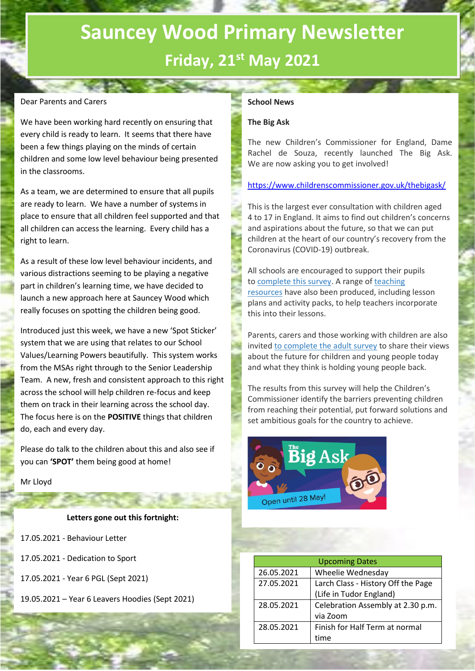# **Sauncey Wood Primary Newsletter Friday, 21st May 2021**

## Dear Parents and Carers

We have been working hard recently on ensuring that every child is ready to learn. It seems that there have been a few things playing on the minds of certain children and some low level behaviour being presented in the classrooms.

As a team, we are determined to ensure that all pupils are ready to learn. We have a number of systems in place to ensure that all children feel supported and that all children can access the learning. Every child has a right to learn.

As a result of these low level behaviour incidents, and various distractions seeming to be playing a negative part in children's learning time, we have decided to launch a new approach here at Sauncey Wood which really focuses on spotting the children being good.

Introduced just this week, we have a new 'Spot Sticker' system that we are using that relates to our School Values/Learning Powers beautifully. This system works from the MSAs right through to the Senior Leadership Team. A new, fresh and consistent approach to this right across the school will help children re-focus and keep them on track in their learning across the school day. The focus here is on the **POSITIVE** things that children do, each and every day.

Please do talk to the children about this and also see if you can **'SPOT'** them being good at home!

#### Mr Lloyd

### **Letters gone out this fortnight:**

| 17.05.2021 - Behaviour Letter                   |
|-------------------------------------------------|
| 17.05.2021 - Dedication to Sport                |
| 17.05.2021 - Year 6 PGL (Sept 2021)             |
| 19.05.2021 – Year 6 Leavers Hoodies (Sept 2021) |

## **School News**

## **The Big Ask**

The new Children's Commissioner for England, Dame Rachel de Souza, recently launched The Big Ask. We are now asking you to get involved!

<https://www.childrenscommissioner.gov.uk/thebigask/>

This is the largest ever consultation with children aged 4 to 17 in England. It aims to find out children's concerns and aspirations about the future, so that we can put children at the heart of our country's recovery from the Coronavirus (COVID-19) outbreak.

All schools are encouraged to support their pupils to [complete this survey.](https://www.childrenscommissioner.gov.uk/thebigask/) A range of [teaching](https://www.childrenscommissioner.gov.uk/thebigask/resources/)  [resources](https://www.childrenscommissioner.gov.uk/thebigask/resources/) have also been produced, including lesson plans and activity packs, to help teachers incorporate this into their lessons.

Parents, carers and those working with children are also invited [to complete the adult survey](https://www.childrenscommissioner.gov.uk/thebigask/adults/) to share their views about the future for children and young people today and what they think is holding young people back.

The results from this survey will help the Children's Commissioner identify the barriers preventing children from reaching their potential, put forward solutions and set ambitious goals for the country to achieve.



| <b>Upcoming Dates</b> |                                    |  |
|-----------------------|------------------------------------|--|
| 26.05.2021            | Wheelie Wednesday                  |  |
| 27.05.2021            | Larch Class - History Off the Page |  |
|                       | (Life in Tudor England)            |  |
| 28.05.2021            | Celebration Assembly at 2.30 p.m.  |  |
|                       | via Zoom                           |  |
| 28.05.2021            | Finish for Half Term at normal     |  |
|                       | time                               |  |